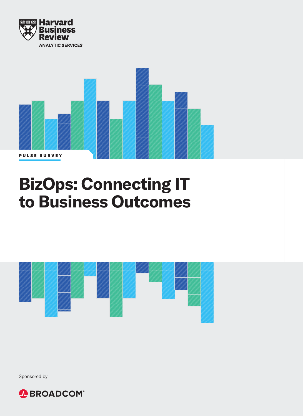



# **BizOps: Connecting IT to Business Outcomes**



Sponsored by

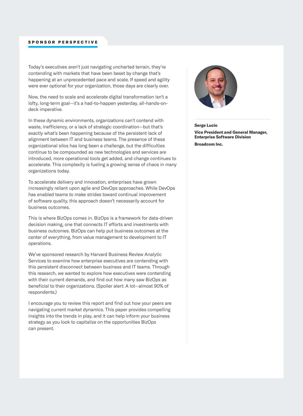#### SPONSOR PERSPECTIVE

Today's executives aren't just navigating uncharted terrain, they're contending with markets that have been beset by change that's happening at an unprecedented pace and scale. If speed and agility were ever optional for your organization, those days are clearly over.

Now, the need to scale and accelerate digital transformation isn't a lofty, long-term goal—it's a had-to-happen yesterday, all-hands-ondeck imperative.

In these dynamic environments, organizations can't contend with waste, inefficiency, or a lack of strategic coordination—but that's exactly what's been happening because of the persistent lack of alignment between IT and business teams. The presence of these organizational silos has long been a challenge, but the difficulties continue to be compounded as new technologies and services are introduced, more operational tools get added, and change continues to accelerate. This complexity is fueling a growing sense of chaos in many organizations today.

To accelerate delivery and innovation, enterprises have grown increasingly reliant upon agile and DevOps approaches. While DevOps has enabled teams to make strides toward continual improvement of software quality, this approach doesn't necessarily account for business outcomes.

This is where BizOps comes in. BizOps is a framework for data-driven decision making, one that connects IT efforts and investments with business outcomes. BizOps can help put business outcomes at the center of everything, from value management to development to IT operations.

We've sponsored research by Harvard Business Review Analytic Services to examine how enterprise executives are contending with this persistent disconnect between business and IT teams. Through this research, we wanted to explore how executives were contending with their current demands, and find out how many saw BizOps as beneficial to their organizations. (Spoiler alert: A lot—almost 90% of respondents.)

I encourage you to review this report and find out how your peers are navigating current market dynamics. This paper provides compelling insights into the trends in play, and it can help inform your business strategy as you look to capitalize on the opportunities BizOps can present.



#### **Serge Lucio**

**Vice President and General Manager, Enterprise Software Division Broadcom Inc.**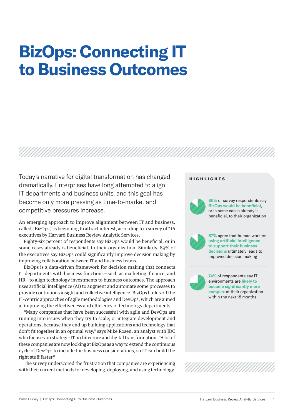# **BizOps: Connecting IT to Business Outcomes**

Today's narrative for digital transformation has changed dramatically. Enterprises have long attempted to align IT departments and business units, and this goal has become only more pressing as time-to-market and competitive pressures increase.

An emerging approach to improve alignment between IT and business, called "BizOps," is beginning to attract interest, according to a survey of 216 executives by Harvard Business Review Analytic Services.

Eighty-six percent of respondents say BizOps would be beneficial, or in some cases already is beneficial, to their organization. Similarly, 89% of the executives say BizOps could significantly improve decision making by improving collaboration between IT and business teams.

BizOps is a data-driven framework for decision making that connects IT departments with business functions—such as marketing, finance, and HR—to align technology investments to business outcomes. The approach uses artificial intelligence (AI) to augment and automate some processes to provide continuous insight and collective intelligence. BizOps builds off the IT-centric approaches of agile methodologies and DevOps, which are aimed at improving the effectiveness and efficiency of technology departments.

"Many companies that have been successful with agile and DevOps are running into issues when they try to scale, or integrate development and operations, because they end up building applications and technology that don't fit together in an optimal way," says Mike Rosen, an analyst with IDC who focuses on strategic IT architecture and digital transformation. "A lot of these companies are now looking at BizOps as a way to extend the continuous cycle of DevOps to include the business considerations, so IT can build the right stuff faster."

The survey underscored the frustration that companies are experiencing with their current methods for developing, deploying, and using technology.

#### HIGHLIGHTS

**86%** of survey respondents say **BizOps would be beneficial**, or in some cases already is beneficial, to their organization



**87%** agree that human workers **using artificial intelligence to support their business decisions** ultimately leads to improved decision making

**74%** of respondents say IT environments are **likely to become significantly more complex** at their organization within the next 18 months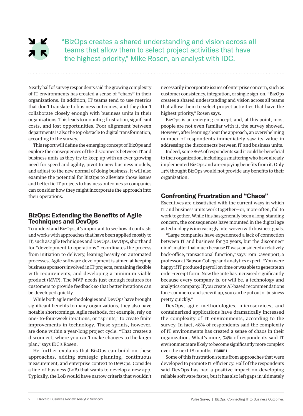## A R  $2K$

"BizOps creates a shared understanding and vision across all teams that allow them to select project activities that have the highest priority," Mike Rosen, an analyst with IDC.

Nearly half of survey respondents said the growing complexity of IT environments has created a sense of "chaos" in their organizations. In addition, IT teams tend to use metrics that don't translate to business outcomes, and they don't collaborate closely enough with business units in their organizations. This leads to mounting frustration, significant costs, and lost opportunities. Poor alignment between departments is also the top obstacle to digital transformation, according to the survey.

This report will define the emerging concept of BizOps and explore the consequences of the disconnects between IT and business units as they try to keep up with an ever-growing need for speed and agility, pivot to new business models, and adjust to the new normal of doing business. It will also examine the potential for BizOps to alleviate those issues and better tie IT projects to business outcomes so companies can consider how they might incorporate the approach into their operations.

## **BizOps: Extending the Benefits of Agile Techniques and DevOps**

To understand BizOps, it's important to see how it contrasts and works with approaches that have been applied mostly to IT, such as agile techniques and DevOps. DevOps, shorthand for "development to operations," coordinates the process from initiation to delivery, leaning heavily on automated processes. Agile software development is aimed at keeping business sponsors involved in IT projects, remaining flexible with requirements, and developing a minimum viable product (MVP). The MVP needs just enough features for customers to provide feedback so that better iterations can be developed quickly.

While both agile methodologies and DevOps have brought significant benefits to many organizations, they also have notable shortcomings. Agile methods, for example, rely on one- to-four-week iterations, or "sprints," to create finite improvements in technology. These sprints, however, are done within a year-long project cycle. "That creates a disconnect, where you can't make changes to the larger plan," says IDC's Rosen.

He further explains that BizOps can build on these approaches, adding strategic planning, continuous measurement, and enterprise context to DevOps. Consider a line-of-business (LoB) that wants to develop a new app. Typically, the LoB would have narrow criteria that wouldn't

necessarily incorporate issues of enterprise concern, such as customer consistency, integration, or single sign-on. "BizOps creates a shared understanding and vision across all teams that allow them to select project activities that have the highest priority," Rosen says.

BizOps is an emerging concept, and, at this point, most people are not even familiar with it, the survey showed. However, after learning about the approach, an overwhelming number of respondents immediately saw its value in addressing the disconnects between IT and business units.

Indeed, some 86% of respondents said it could be beneficial to their organization, including a smattering who have already implemented BizOps and are enjoying benefits from it. Only 13% thought BizOps would not provide any benefits to their organization.

## **Confronting Frustration and "Chaos"**

Executives are dissatisfied with the current ways in which IT and business units work together—or, more often, fail to work together. While this has generally been a long-standing concern, the consequences have mounted in the digital age as technology is increasingly interwoven with business goals.

"Large companies have experienced a lack of connection between IT and business for 30 years, but the disconnect didn't matter that much because IT was considered a relatively back-office, transactional function," says Tom Davenport, a professor at Babson College and analytics expert. "You were happy if IT produced payroll on time or was able to generate an order-receipt form. Now the ante has increased significantly because every company is, or will be, a technology and analytics company. If you create AI-based recommendations for e-commerce and screw it up, you can be put out of business pretty quickly."

DevOps, agile methodologies, microservices, and containerized applications have dramatically increased the complexity of IT environments, according to the survey. In fact, 48% of respondents said the complexity of IT environments has created a sense of chaos in their organization. What's more, 74% of respondents said IT environments are likely to become significantly more complex over the next 18 months. **FIGURE 1**

Some of this frustration stems from approaches that were developed to promote IT efficiency. Half of the respondents said DevOps has had a positive impact on developing reliable software faster, but it has also left gaps in ultimately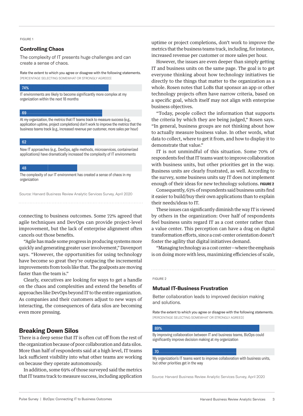FIGURE 1

## **Controlling Chaos**

The complexity of IT presents huge challenges and can create a sense of chaos.

Rate the extent to which you agree or disagree with the following statements. [PERCENTAGE SELECTING SOMEWHAT OR STRONGLY AGREED]

#### 74%

IT environments are likely to become significantly more complex at my organization within the next 18 months

#### 69

At my organization, the metrics that IT teams track to measure success (e.g., application uptime, project completions) don't work to improve the metrics that the business teams track (e.g., increased revenue per customer, more sales per hour)

#### 62

New IT approaches (e.g., DevOps, agile methods, microservices, containerized applications) have dramatically increased the complexity of IT environments

#### 48

The complexity of our IT environment has created a sense of chaos in my organization

Source: Harvard Business Review Analytic Services Survey, April 2020

connecting to business outcomes. Some 72% agreed that agile techniques and DevOps can provide project-level improvement, but the lack of enterprise alignment often cancels out those benefits.

"Agile has made some progress in producing systems more quickly and generating greater user involvement," Davenport says. "However, the opportunities for using technology have become so great they're outpacing the incremental improvements from tools like that. The goalposts are moving faster than the team is."

Clearly, executives are looking for ways to get a handle on the chaos and complexities and extend the benefits of approaches like DevOps beyond IT to the entire organization. As companies and their customers adjust to new ways of interacting, the consequences of data silos are becoming even more pressing.

## **Breaking Down Silos**

There is a deep sense that IT is often cut off from the rest of the organization because of poor collaboration and data silos. More than half of respondents said at a high level, IT teams lack sufficient visibility into what other teams are working on because they operate autonomously.

In addition, some 69% of those surveyed said the metrics that IT teams track to measure success, including application uptime or project completions, don't work to improve the metrics that the business teams track, including, for instance, increased revenue per customer or more sales per hour.

However, the issues are even deeper than simply getting IT and business units on the same page. The goal is to get everyone thinking about how technology initiatives tie directly to the things that matter to the organization as a whole. Rosen notes that LoBs that sponsor an app or other technology projects often have narrow criteria, based on a specific goal, which itself may not align with enterprise business objectives.

"Today, people collect the information that supports the criteria by which they are being judged," Rosen says. "In general, business groups are not thinking about how to actually measure business value. In other words, what data to collect, where to get it from, and how to display it to demonstrate that value."

IT is not unmindful of this situation. Some 70% of respondents feel that IT teams want to improve collaboration with business units, but other priorities get in the way. Business units are clearly frustrated, as well. According to the survey, some business units say IT does not implement enough of their ideas for new technology solutions. **FIGURE 2**

Consequently, 63% of respondents said business units find it easier to build/buy their own applications than to explain their needs/ideas to IT.

These issues can significantly diminish the way IT is viewed by others in the organization: Over half of respondents feel business units regard IT as a cost center rather than a value center. This perception can have a drag on digital transformation efforts, since a cost-center orientation doesn't foster the agility that digital initiatives demand.

"Managing technology as a cost center—where the emphasis is on doing more with less, maximizing efficiencies of scale,

#### FIGURE 2

#### **Mutual IT-Business Frustration**

Better collaboration leads to improved decision making and solutions.

Rate the extent to which you agree or disagree with the following statements. [PERCENTAGE SELECTING SOMEWHAT OR STRONGLY AGREED]

#### 89%

By improving collaboration between IT and business teams, BizOps could significantly improve decision making at my organization

#### 70

My organization's IT teams want to improve collaboration with business units, but other priorities get in the way

Source: Harvard Business Review Analytic Services Survey, April 2020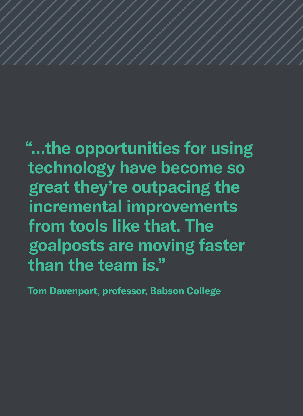**"…the opportunities for using technology have become so great they're outpacing the incremental improvements from tools like that. The goalposts are moving faster than the team is."**

**Tom Davenport, professor, Babson College**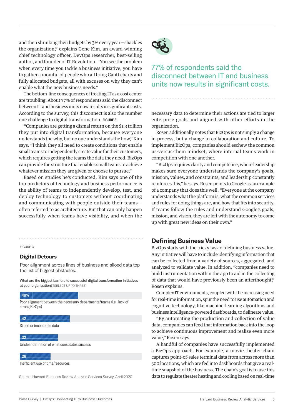and then shrinking their budgets by 3% every year—shackles the organization," explains Gene Kim, an award-winning chief technology officer, DevOps researcher, best-selling author, and founder of IT Revolution. "You see the problem when every time you tackle a business initiative, you have to gather a roomful of people who all bring Gantt charts and fully allocated budgets, all with excuses on why they can't enable what the new business needs."

The bottom-line consequences of treating IT as a cost center are troubling. About 77% of respondents said the disconnect between IT and business units now results in significant costs. According to the survey, this disconnect is also the number one challenge to digital transformation. **FIGURE 3**

"Companies are getting a dismal return on the \$1.3 trillion they put into digital transformation, because everyone understands the why, but no one understands the how," Kim says. "I think they all need to create conditions that enable small teams to independently create value for their customers, which requires getting the teams the data they need. BizOps can provide the structure that enables small teams to achieve whatever mission they are given or choose to pursue."

Based on studies he's conducted, Kim says one of the top predictors of technology and business performance is the ability of teams to independently develop, test, and deploy technology to customers without coordinating and communicating with people outside their teams often referred to as architecture. But that can only happen successfully when teams have visibility, and when the

FIGURE 3

#### **Digital Detours**

Poor alignment across lines of business and siloed data top the list of biggest obstacles.

What are the biggest barriers to successful digital transformation initiatives at your organization? [SELECT UP TO THREE]

#### 49%

Poor alignment between the necessary departments/teams (i.e., lack of strong BizOps)

#### 42

Siloed or incomplete data

#### 32

Unclear definition of what constitutes success

#### 26

Inefficient use of time/resources

Source: Harvard Business Review Analytic Services Survey, April 2020



## 77% of respondents said the disconnect between IT and business units now results in significant costs.

necessary data to determine their actions are tied to larger enterprise goals and aligned with other efforts in the organization.

Rosen additionally notes that BizOps is not simply a change in process, but a change in collaboration and culture. To implement BizOps, companies should eschew the common us-versus-them mindset, where internal teams work in competition with one another.

"BizOps requires clarity and competence, where leadership makes sure everyone understands the company's goals, mission, values, and constraints, and leadership constantly reinforces this," he says. Rosen points to Google as an example of a company that does this well. "Everyone at the company understands what the platform is, what the common services and rules for doing things are, and how that fits into security. If teams follow the rules and understand Google's goals, mission, and vision, they are left with the autonomy to come up with great new ideas on their own."

## **Defining Business Value**

BizOps starts with the tricky task of defining business value. Any initiative will have to include identifying information that can be collected from a variety of sources, aggregated, and analyzed to validate value. In addition, "companies need to build instrumentation within the app to aid in the collecting of data that would have previously been an afterthought," Rosen explains.

Complex IT environments, coupled with the increasing need for real-time information, spur the need to use automation and cognitive technology, like machine-learning algorithms and business intelligence-powered dashboards, to delineate value.

"By automating the production and collection of value data, companies can feed that information back into the loop to achieve continuous improvement and realize even more value," Rosen says.

A handful of companies have successfully implemented a BizOps approach. For example, a movie theater chain captures point-of-sales terminal data from across more than 300 locations, which are fed into dashboards that give a realtime snapshot of the business. The chain's goal is to use this data to regulate theater heating and cooling based on real-time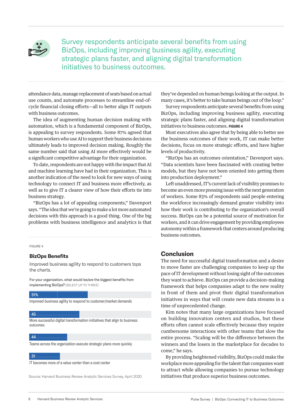

Survey respondents anticipate several benefits from using BizOps, including improving business agility, executing strategic plans faster, and aligning digital transformation initiatives to business outcomes.

attendance data, manage replacement of seats based on actual use counts, and automate processes to streamline end-ofcycle financial closing efforts—all to better align IT outputs with business outcomes.

The idea of augmenting human decision making with automation, which is a fundamental component of BizOps, is appealing to survey respondents. Some 87% agreed that human workers who use AI to support their business decisions ultimately leads to improved decision making. Roughly the same number said that using AI more effectively would be a significant competitive advantage for their organization.

To date, respondents are not happy with the impact that AI and machine learning have had in their organization. This is another indication of the need to look for new ways of using technology to connect IT and business more effectively, as well as to give IT a clearer view of how their efforts tie into business strategy.

"BizOps has a lot of appealing components," Davenport says. "The idea that we're going to make a lot more automated decisions with this approach is a good thing. One of the big problems with business intelligence and analytics is that

FIGURE 4

#### **BizOps Benefits**

Improved business agility to respond to customers tops the charts.

For your organization, what would be/are the biggest benefits from implementing BizOps? [SELECT UP TO THREE]

51%

Improved business agility to respond to customer/market demands

#### 45

More successful digital transformation initiatives that align to business outcomes

#### **44**

Teams across the organization execute strategic plans more quickly

#### 31

IT becomes more of a value center than a cost center

Source: Harvard Business Review Analytic Services Survey, April 2020

they've depended on human beings looking at the output. In many cases, it's better to take human beings out of the loop."

Survey respondents anticipate several benefits from using BizOps, including improving business agility, executing strategic plans faster, and aligning digital transformation initiatives to business outcomes. **FIGURE 4**

Most executives also agree that by being able to better see the business outcomes of their work, IT can make better decisions, focus on more strategic efforts, and have higher levels of productivity.

"BizOps has an outcomes orientation," Davenport says. "Data scientists have been fascinated with creating better models, but they have not been oriented into getting them into production deployment."

Left unaddressed, IT's current lack of visibility promises to become an even more pressing issue with the next generation of workers. Some 83% of respondents said people entering the workforce increasingly demand greater visibility into how their work is contributing to the organization's overall success. BizOps can be a potential source of motivation for workers, and it can drive engagement by providing employees autonomy within a framework that centers around producing business outcomes.

## **Conclusion**

The need for successful digital transformation and a desire to move faster are challenging companies to keep up the pace of IT development without losing sight of the outcomes they want to achieve. BizOps can provide a decision-making framework that helps companies adapt to the new reality in front of them and pivot their digital transformation initiatives in ways that will create new data streams in a time of unprecedented change.

Kim notes that many large organizations have focused on building innovation centers and studios, but these efforts often cannot scale effectively because they require cumbersome interactions with other teams that slow the entire process. "Scaling will be the difference between the winners and the losers in the marketplace for decades to come," he says.

By providing heightened visibility, BizOps could make the workplace more appealing for the talent that companies want to attract while allowing companies to pursue technology initiatives that produce superior business outcomes.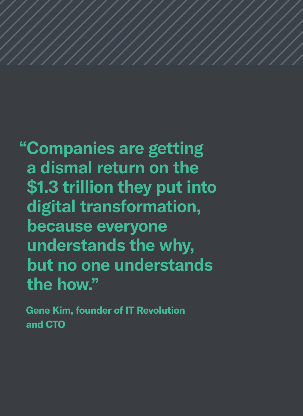**"Companies are getting a dismal return on the \$1.3 trillion they put into digital transformation, because everyone understands the why, but no one understands the how."** 

**Gene Kim, founder of IT Revolution and CTO**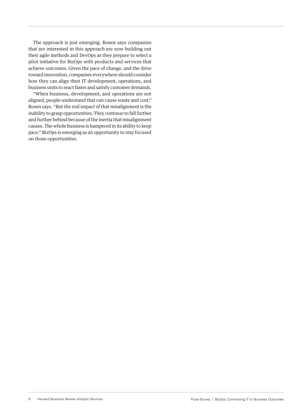The approach is just emerging. Rosen says companies that are interested in this approach are now building out their agile methods and DevOps as they prepare to select a pilot initiative for BizOps with products and services that achieve outcomes. Given the pace of change, and the drive toward innovation, companies everywhere should consider how they can align their IT development, operations, and business units to react faster and satisfy customer demands.

"When business, development, and operations are not aligned, people understand that can cause waste and cost," Rosen says. "But the real impact of that misalignment is the inability to grasp opportunities. They continue to fall further and further behind because of the inertia that misalignment causes. The whole business is hampered in its ability to keep pace." BizOps is emerging as an opportunity to stay focused on those opportunities.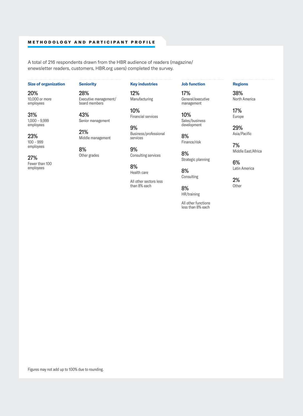#### METHODOLOGY AND PARTICIPANT PROFILE

A total of 216 respondents drawn from the HBR audience of readers (magazine/ enewsletter readers, customers, HBR.org users) completed the survey.

### **Size of organization**

20% 10,000 or more employees

31%

1,000 – 9,999 employees

23% 100 – 999 employees

27% Fewer than 100 employees

**Seniority**

43%

21%

8% Other grades

28% Executive management/ board members

Senior management

Middle management

## **Key industries**

12% Manufacturing

10% Financial services

9% Business/professional services

9% Consulting services

8% Health care

All other sectors less than 8% each

**Job function**

17% General/executive management

10% Sales/business development

8% Finance/risk

8% Strategic planning

8% Consulting

8% HR/training

All other functions less than 8% each

## **Regions**

38% North America

17% Europe

> 29% Asia/Pacific

7% Middle East/Africa

6% Latin America

2% **Other**